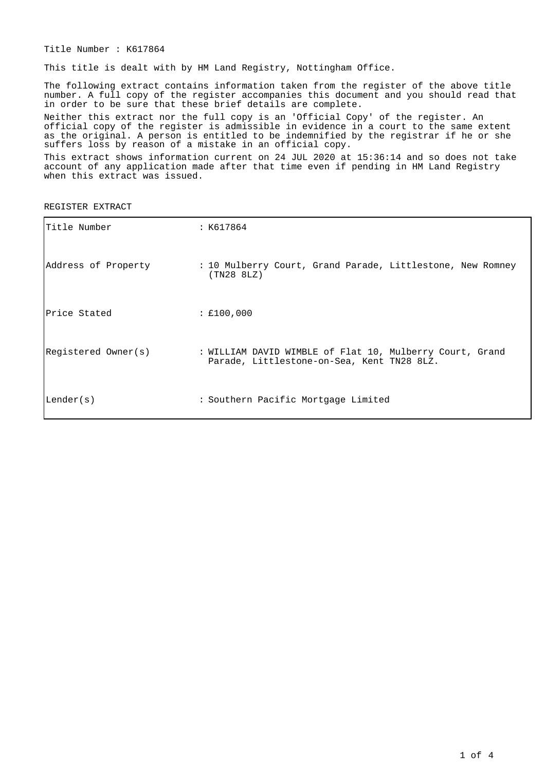Title Number : K617864

This title is dealt with by HM Land Registry, Nottingham Office.

The following extract contains information taken from the register of the above title number. A full copy of the register accompanies this document and you should read that in order to be sure that these brief details are complete.

Neither this extract nor the full copy is an 'Official Copy' of the register. An official copy of the register is admissible in evidence in a court to the same extent as the original. A person is entitled to be indemnified by the registrar if he or she suffers loss by reason of a mistake in an official copy.

This extract shows information current on 24 JUL 2020 at 15:36:14 and so does not take account of any application made after that time even if pending in HM Land Registry when this extract was issued.

REGISTER EXTRACT

| Title Number        | : K617864                                                                                              |
|---------------------|--------------------------------------------------------------------------------------------------------|
| Address of Property | : 10 Mulberry Court, Grand Parade, Littlestone, New Romney<br>(TN28 8LZ)                               |
| Price Stated        | : £100,000                                                                                             |
| Registered Owner(s) | : WILLIAM DAVID WIMBLE of Flat 10, Mulberry Court, Grand<br>Parade, Littlestone-on-Sea, Kent TN28 8LZ. |
| Lender(s)           | : Southern Pacific Mortgage Limited                                                                    |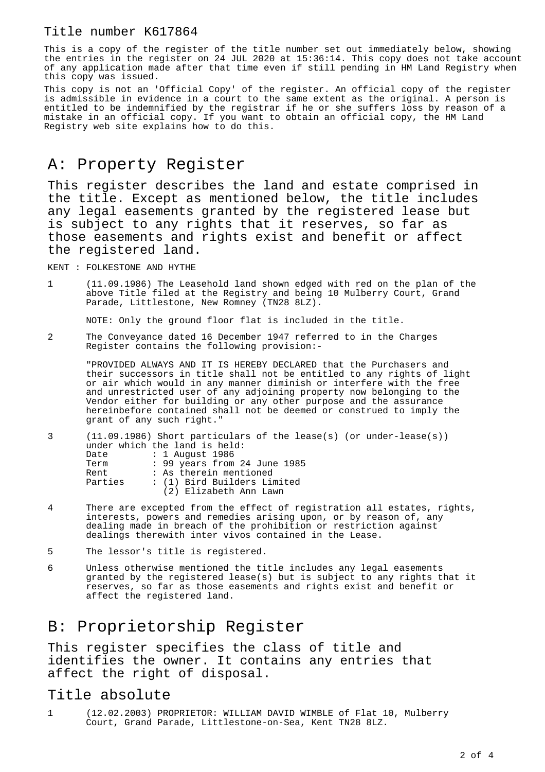### Title number K617864

This is a copy of the register of the title number set out immediately below, showing the entries in the register on 24 JUL 2020 at 15:36:14. This copy does not take account of any application made after that time even if still pending in HM Land Registry when this copy was issued.

This copy is not an 'Official Copy' of the register. An official copy of the register is admissible in evidence in a court to the same extent as the original. A person is entitled to be indemnified by the registrar if he or she suffers loss by reason of a mistake in an official copy. If you want to obtain an official copy, the HM Land Registry web site explains how to do this.

## A: Property Register

This register describes the land and estate comprised in the title. Except as mentioned below, the title includes any legal easements granted by the registered lease but is subject to any rights that it reserves, so far as those easements and rights exist and benefit or affect the registered land.

KENT : FOLKESTONE AND HYTHE

1 (11.09.1986) The Leasehold land shown edged with red on the plan of the above Title filed at the Registry and being 10 Mulberry Court, Grand Parade, Littlestone, New Romney (TN28 8LZ).

NOTE: Only the ground floor flat is included in the title.

2 The Conveyance dated 16 December 1947 referred to in the Charges Register contains the following provision:-

"PROVIDED ALWAYS AND IT IS HEREBY DECLARED that the Purchasers and their successors in title shall not be entitled to any rights of light or air which would in any manner diminish or interfere with the free and unrestricted user of any adjoining property now belonging to the Vendor either for building or any other purpose and the assurance hereinbefore contained shall not be deemed or construed to imply the grant of any such right."

|         | $(11.09.1986)$ Short particulars of the lease(s) (or under-lease(s)) |
|---------|----------------------------------------------------------------------|
|         | under which the land is held:                                        |
| Date    | : 1 August 1986                                                      |
| Term    | : 99 years from 24 June 1985                                         |
| Rent    | : As therein mentioned                                               |
| Parties | : (1) Bird Builders Limited                                          |
|         | (2) Elizabeth Ann Lawn                                               |
|         |                                                                      |

- 4 There are excepted from the effect of registration all estates, rights, interests, powers and remedies arising upon, or by reason of, any dealing made in breach of the prohibition or restriction against dealings therewith inter vivos contained in the Lease.
- 5 The lessor's title is registered.
- 6 Unless otherwise mentioned the title includes any legal easements granted by the registered lease(s) but is subject to any rights that it reserves, so far as those easements and rights exist and benefit or affect the registered land.

## B: Proprietorship Register

This register specifies the class of title and identifies the owner. It contains any entries that affect the right of disposal.

#### Title absolute

1 (12.02.2003) PROPRIETOR: WILLIAM DAVID WIMBLE of Flat 10, Mulberry Court, Grand Parade, Littlestone-on-Sea, Kent TN28 8LZ.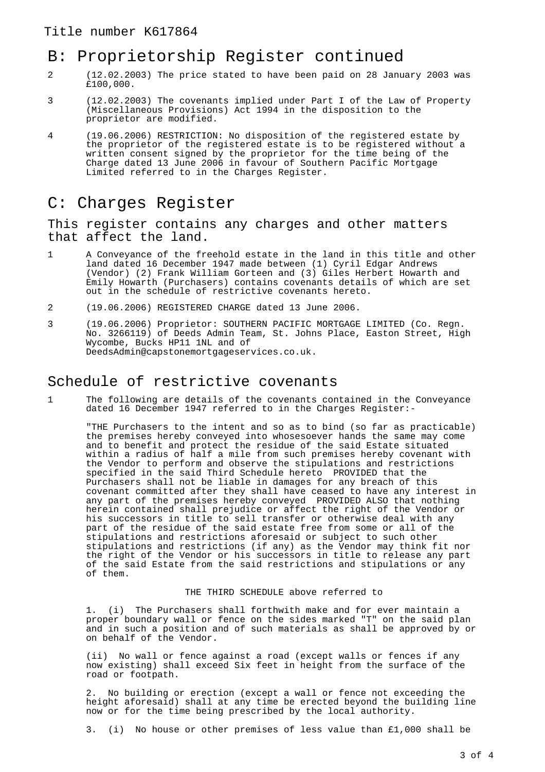# B: Proprietorship Register continued

- 2 (12.02.2003) The price stated to have been paid on 28 January 2003 was £100,000.
- 3 (12.02.2003) The covenants implied under Part I of the Law of Property (Miscellaneous Provisions) Act 1994 in the disposition to the proprietor are modified.
- 4 (19.06.2006) RESTRICTION: No disposition of the registered estate by the proprietor of the registered estate is to be registered without a written consent signed by the proprietor for the time being of the Charge dated 13 June 2006 in favour of Southern Pacific Mortgage Limited referred to in the Charges Register.

## C: Charges Register

This register contains any charges and other matters that affect the land.

- 1 A Conveyance of the freehold estate in the land in this title and other land dated 16 December 1947 made between (1) Cyril Edgar Andrews (Vendor) (2) Frank William Gorteen and (3) Giles Herbert Howarth and Emily Howarth (Purchasers) contains covenants details of which are set out in the schedule of restrictive covenants hereto.
- 2 (19.06.2006) REGISTERED CHARGE dated 13 June 2006.
- 3 (19.06.2006) Proprietor: SOUTHERN PACIFIC MORTGAGE LIMITED (Co. Regn. No. 3266119) of Deeds Admin Team, St. Johns Place, Easton Street, High Wycombe, Bucks HP11 1NL and of DeedsAdmin@capstonemortgageservices.co.uk.

## Schedule of restrictive covenants

1 The following are details of the covenants contained in the Conveyance dated 16 December 1947 referred to in the Charges Register:-

"THE Purchasers to the intent and so as to bind (so far as practicable) the premises hereby conveyed into whosesoever hands the same may come and to benefit and protect the residue of the said Estate situated within a radius of half a mile from such premises hereby covenant with the Vendor to perform and observe the stipulations and restrictions specified in the said Third Schedule hereto PROVIDED that the Purchasers shall not be liable in damages for any breach of this covenant committed after they shall have ceased to have any interest in any part of the premises hereby conveyed PROVIDED ALSO that nothing herein contained shall prejudice or affect the right of the Vendor or his successors in title to sell transfer or otherwise deal with any part of the residue of the said estate free from some or all of the stipulations and restrictions aforesaid or subject to such other stipulations and restrictions (if any) as the Vendor may think fit nor the right of the Vendor or his successors in title to release any part of the said Estate from the said restrictions and stipulations or any of them.

#### THE THIRD SCHEDULE above referred to

1. (i) The Purchasers shall forthwith make and for ever maintain a proper boundary wall or fence on the sides marked "T" on the said plan and in such a position and of such materials as shall be approved by or on behalf of the Vendor.

(ii) No wall or fence against a road (except walls or fences if any now existing) shall exceed Six feet in height from the surface of the road or footpath.

2. No building or erection (except a wall or fence not exceeding the height aforesaid) shall at any time be erected beyond the building line now or for the time being prescribed by the local authority.

3. (i) No house or other premises of less value than £1,000 shall be